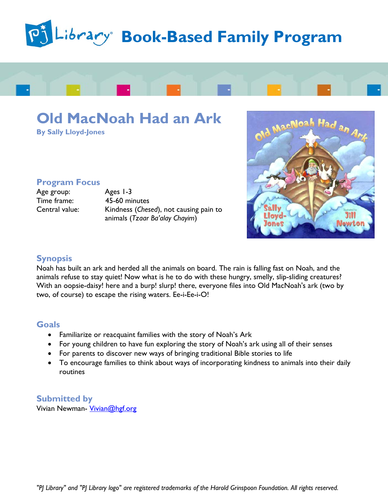



**By Sally Lloyd-Jones**

#### **Program Focus**

Age group: Ages 1-3

Time frame: 45-60 minutes Central value: Kindness (*Chesed*), not causing pain to animals (*Tzaar Ba'alay Chayim*)



#### **Synopsis**

Noah has built an ark and herded all the animals on board. The rain is falling fast on Noah, and the animals refuse to stay quiet! Now what is he to do with these hungry, smelly, slip-sliding creatures? With an oopsie-daisy! here and a burp! slurp! there, everyone files into Old MacNoah's ark (two by two, of course) to escape the rising waters. Ee-i-Ee-i-O!

#### **Goals**

- Familiarize or reacquaint families with the story of Noah's Ark
- For young children to have fun exploring the story of Noah's ark using all of their senses
- For parents to discover new ways of bringing traditional Bible stories to life
- To encourage families to think about ways of incorporating kindness to animals into their daily routines

## **Submitted by**

Vivian Newman- [Vivian@hgf.org](mailto:Vivian@hgf.org)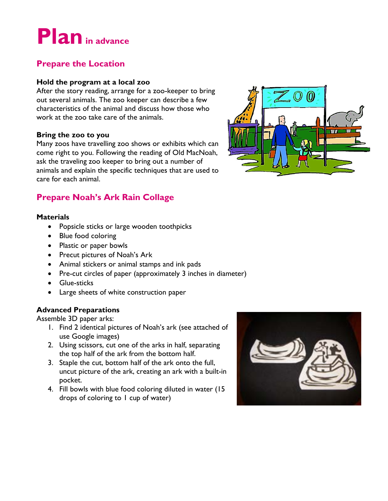## **Planin advance**

## **Prepare the Location**

#### **Hold the program at a local zoo**

After the story reading, arrange for a zoo-keeper to bring out several animals. The zoo keeper can describe a few characteristics of the animal and discuss how those who work at the zoo take care of the animals.

#### **Bring the zoo to you**

Many zoos have travelling zoo shows or exhibits which can come right to you. Following the reading of Old MacNoah, ask the traveling zoo keeper to bring out a number of animals and explain the specific techniques that are used to care for each animal.

## **Prepare Noah's Ark Rain Collage**

#### **Materials**

- Popsicle sticks or large wooden toothpicks
- Blue food coloring
- Plastic or paper bowls
- Precut pictures of Noah's Ark
- Animal stickers or animal stamps and ink pads
- Pre-cut circles of paper (approximately 3 inches in diameter)
- Glue-sticks
- Large sheets of white construction paper

#### **Advanced Preparations**

Assemble 3D paper arks:

- 1. Find 2 identical pictures of Noah's ark (see attached of use Google images)
- 2. Using scissors, cut one of the arks in half, separating the top half of the ark from the bottom half.
- 3. Staple the cut, bottom half of the ark onto the full, uncut picture of the ark, creating an ark with a built-in pocket.
- 4. Fill bowls with blue food coloring diluted in water (15 drops of coloring to 1 cup of water)



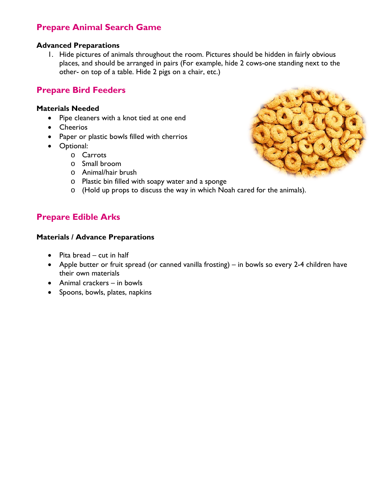## **Prepare Animal Search Game**

#### **Advanced Preparations**

1. Hide pictures of animals throughout the room. Pictures should be hidden in fairly obvious places, and should be arranged in pairs (For example, hide 2 cows-one standing next to the other- on top of a table. Hide 2 pigs on a chair, etc.)

## **Prepare Bird Feeders**

#### **Materials Needed**

- Pipe cleaners with a knot tied at one end
- Cheerios
- Paper or plastic bowls filled with cherrios
- Optional:
	- o Carrots
	- o Small broom
	- o Animal/hair brush
	- o Plastic bin filled with soapy water and a sponge
	- o (Hold up props to discuss the way in which Noah cared for the animals).

## **Prepare Edible Arks**

#### **Materials / Advance Preparations**

- Pita bread cut in half
- Apple butter or fruit spread (or canned vanilla frosting) in bowls so every 2-4 children have their own materials
- Animal crackers in bowls
- Spoons, bowls, plates, napkins

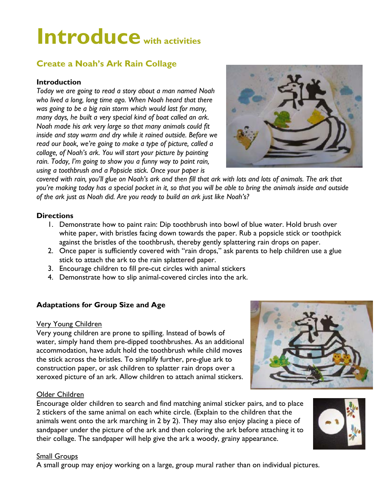## **Introduce with activities**

## **Create a Noah's Ark Rain Collage**

#### **Introduction**

*Today we are going to read a story about a man named Noah who lived a long, long time ago. When Noah heard that there was going to be a big rain storm which would last for many, many days, he built a very special kind of boat called an ark. Noah made his ark very large so that many animals could fit inside and stay warm and dry while it rained outside. Before we read our book, we're going to make a type of picture, called a collage, of Noah's ark. You will start your picture by painting rain. Today, I'm going to show you a funny way to paint rain, using a toothbrush and a Popsicle stick. Once your paper is* 



*covered with rain, you'll glue on Noah's ark and then fill that ark with lots and lots of animals. The ark that you're making today has a special pocket in it, so that you will be able to bring the animals inside and outside of the ark just as Noah did. Are you ready to build an ark just like Noah's?*

#### **Directions**

- 1. Demonstrate how to paint rain: Dip toothbrush into bowl of blue water. Hold brush over white paper, with bristles facing down towards the paper. Rub a popsicle stick or toothpick against the bristles of the toothbrush, thereby gently splattering rain drops on paper.
- 2. Once paper is sufficiently covered with "rain drops," ask parents to help children use a glue stick to attach the ark to the rain splattered paper.
- 3. Encourage children to fill pre-cut circles with animal stickers
- 4. Demonstrate how to slip animal-covered circles into the ark.

#### **Adaptations for Group Size and Age**

#### Very Young Children

Very young children are prone to spilling. Instead of bowls of water, simply hand them pre-dipped toothbrushes. As an additional accommodation, have adult hold the toothbrush while child moves the stick across the bristles. To simplify further, pre-glue ark to construction paper, or ask children to splatter rain drops over a xeroxed picture of an ark. Allow children to attach animal stickers.

#### Older Children

Encourage older children to search and find matching animal sticker pairs, and to place 2 stickers of the same animal on each white circle. (Explain to the children that the animals went onto the ark marching in 2 by 2). They may also enjoy placing a piece of sandpaper under the picture of the ark and then coloring the ark before attaching it to their collage. The sandpaper will help give the ark a woody, grainy appearance.

#### Small Groups

A small group may enjoy working on a large, group mural rather than on individual pictures.



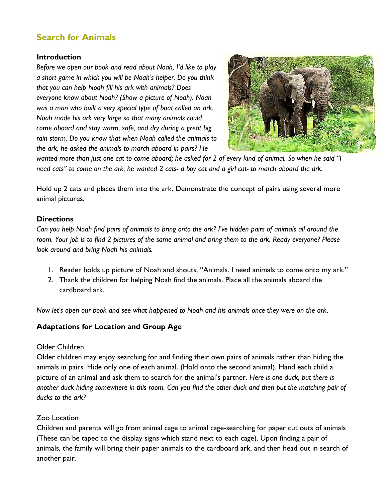## **Search for Animals**

#### **Introduction**

*Before we open our book and read about Noah, I'd like to play a short game in which you will be Noah's helper. Do you think that you can help Noah fill his ark with animals? Does everyone know about Noah? (Show a picture of Noah). Noah was a man who built a very special type of boat called an ark. Noah made his ark very large so that many animals could come aboard and stay warm, safe, and dry during a great big rain storm. Do you know that when Noah called the animals to the ark, he asked the animals to march aboard in pairs? He* 



*wanted more than just one cat to come aboard; he asked for 2 of every kind of animal. So when he said "I need cats" to come on the ark, he wanted 2 cats- a boy cat and a girl cat- to march aboard the ark.* 

Hold up 2 cats and places them into the ark. Demonstrate the concept of pairs using several more animal pictures.

#### **Directions**

*Can you help Noah find pairs of animals to bring onto the ark? I've hidden pairs of animals all around the room. Your job is to find 2 pictures of the same animal and bring them to the ark. Ready everyone? Please look around and bring Noah his animals.*

- 1. Reader holds up picture of Noah and shouts, "Animals. I need animals to come onto my ark."
- 2. Thank the children for helping Noah find the animals. Place all the animals aboard the cardboard ark.

*Now let's open our book and see what happened to Noah and his animals once they were on the ark*.

#### **Adaptations for Location and Group Age**

#### Older Children

Older children may enjoy searching for and finding their own pairs of animals rather than hiding the animals in pairs. Hide only one of each animal. (Hold onto the second animal). Hand each child a picture of an animal and ask them to search for the animal's partner. *Here is one duck, but there is another duck hiding somewhere in this room. Can you find the other duck and then put the matching pair of ducks to the ark?* 

#### Zoo Location

Children and parents will go from animal cage to animal cage-searching for paper cut outs of animals (These can be taped to the display signs which stand next to each cage). Upon finding a pair of animals, the family will bring their paper animals to the cardboard ark, and then head out in search of another pair.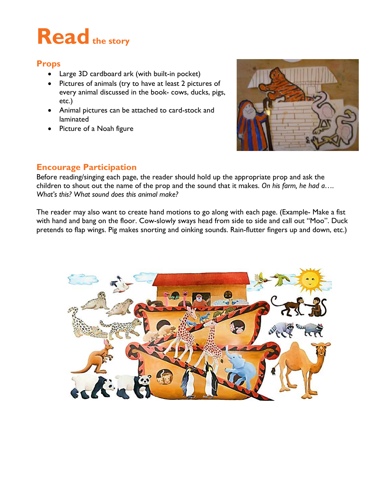## **Read** the story

### **Props**

- Large 3D cardboard ark (with built-in pocket)
- Pictures of animals (try to have at least 2 pictures of every animal discussed in the book- cows, ducks, pigs, etc.)
- Animal pictures can be attached to card-stock and laminated
- Picture of a Noah figure



### **Encourage Participation**

Before reading/singing each page, the reader should hold up the appropriate prop and ask the children to shout out the name of the prop and the sound that it makes. *On his farm, he had a…. What's this? What sound does this animal make?*

The reader may also want to create hand motions to go along with each page. (Example- Make a fist with hand and bang on the floor. Cow-slowly sways head from side to side and call out "Moo". Duck pretends to flap wings. Pig makes snorting and oinking sounds. Rain-flutter fingers up and down, etc.)

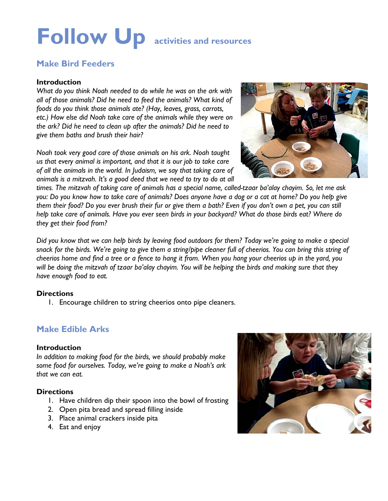# **Follow Up activities and resources**

## **Make Bird Feeders**

#### **Introduction**

*What do you think Noah needed to do while he was on the ark with all of those animals? Did he need to feed the animals? What kind of foods do you think those animals ate? (Hay, leaves, grass, carrots, etc.) How else did Noah take care of the animals while they were on the ark? Did he need to clean up after the animals? Did he need to give them baths and brush their hair?*

*Noah took very good care of those animals on his ark. Noah taught us that every animal is important, and that it is our job to take care of all the animals in the world. In Judaism, we say that taking care of animals is a mitzvah. It's a good deed that we need to try to do at all* 

![](_page_6_Picture_5.jpeg)

*times. The mitzvah of taking care of animals has a special name, called-tzaar ba'alay chayim. So, let me ask you: Do you know how to take care of animals? Does anyone have a dog or a cat at home? Do you help give them their food? Do you ever brush their fur or give them a bath? Even if you don't own a pet, you can still help take care of animals. Have you ever seen birds in your backyard? What do those birds eat? Where do they get their food from?*

*Did you know that we can help birds by leaving food outdoors for them? Today we're going to make a special snack for the birds. We're going to give them a string/pipe cleaner full of cheerios. You can bring this string of cheerios home and find a tree or a fence to hang it from. When you hang your cheerios up in the yard, you will be doing the mitzvah of tzaar ba'alay chayim. You will be helping the birds and making sure that they have enough food to eat.*

#### **Directions**

1. Encourage children to string cheerios onto pipe cleaners.

### **Make Edible Arks**

#### **Introduction**

*In addition to making food for the birds, we should probably make some food for ourselves. Today, we're going to make a Noah's ark that we can eat.* 

#### **Directions**

- 1. Have children dip their spoon into the bowl of frosting
- 2. Open pita bread and spread filling inside
- 3. Place animal crackers inside pita
- 4. Eat and enjoy

![](_page_6_Picture_18.jpeg)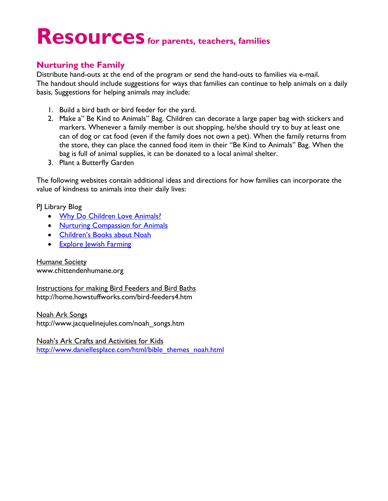## **Resources for parents, teachers, families**

### **Nurturing the Family**

Distribute hand-outs at the end of the program or send the hand-outs to families via e-mail. The handout should include suggestions for ways that families can continue to help animals on a daily basis, Suggestions for helping animals may include:

- 1. Build a bird bath or bird feeder for the yard.
- 2. Make a" Be Kind to Animals" Bag. Children can decorate a large paper bag with stickers and markers. Whenever a family member is out shopping, he/she should try to buy at least one can of dog or cat food (even if the family does not own a pet). When the family returns from the store, they can place the canned food item in their "Be Kind to Animals" Bag. When the bag is full of animal supplies, it can be donated to a local animal shelter.
- 3. Plant a Butterfly Garden

The following websites contain additional ideas and directions for how families can incorporate the value of kindness to animals into their daily lives:

#### PJ Library Blog

- [Why Do Children Love Animals?](http://pjlibrary.org/pj-blog/index.php/archives/3020/why-do-children-love-animals/)
- [Nurturing Compassion for Animals](http://pjlibrary.org/pj-blog/index.php/archives/3005/nurture-compassion-for-animals/)
- [Children's Books about Noah](http://pjlibrary.org/pj-blog/index.php/archives/3741/childrens-books-about-noah-from-pj-library/)
- [Explore Jewish Farming](http://pjlibrary.org/pj-blog/index.php/archives/1355/explore-jewish-farming/)

## **Humane Society**

[www.chittendenhumane.org](http://www.chittendenhumane.org/)

Instructions for making Bird Feeders and Bird Baths <http://home.howstuffworks.com/bird-feeders4.htm>

Noah Ark Songs [http://www.jacquelinejules.com/noah\\_songs.htm](http://www.jacquelinejules.com/noah_songs.htm)

Noah's Ark Crafts and Activities for Kids [http://www.daniellesplace.com/html/bible\\_themes\\_noah.html](http://www.daniellesplace.com/html/bible_themes_noah.html)